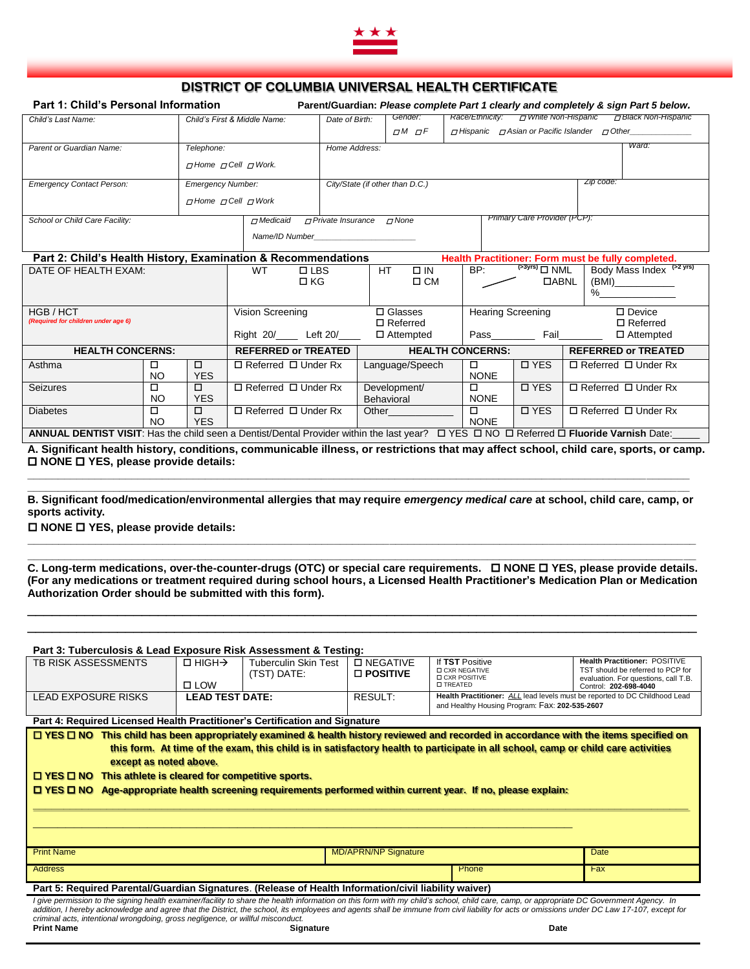

## **DISTRICT OF COLUMBIA UNIVERSAL HEALTH CERTIFICATE**

| Part 1: Child's Personal Information |                                   |                 | Parent/Guardian: Please complete Part 1 clearly and completely & sign Part 5 below. |               |                                                                  |       |  |  |  |  |
|--------------------------------------|-----------------------------------|-----------------|-------------------------------------------------------------------------------------|---------------|------------------------------------------------------------------|-------|--|--|--|--|
| Child's Last Name:                   | Child's First & Middle Name:      |                 | Date of Birth:                                                                      | Gender:       | רז White Non-Hispanic<br>□ Black Non-Hispanic<br>Race/Ethnicity: |       |  |  |  |  |
|                                      |                                   |                 |                                                                                     | $TM$ $\neg F$ | $\Box$ Hispanic $\Box$ Asian or Pacific Islander $\Box$ Other    |       |  |  |  |  |
| Parent or Guardian Name:             | Telephone:                        |                 | Home Address:                                                                       |               |                                                                  | Ward: |  |  |  |  |
|                                      | $\pi$ Home $\pi$ Cell $\pi$ Work. |                 |                                                                                     |               |                                                                  |       |  |  |  |  |
| <b>Emergency Contact Person:</b>     | <b>Emergency Number:</b>          |                 | City/State (if other than D.C.)                                                     |               | Zip code:                                                        |       |  |  |  |  |
|                                      | $\pi$ Home $\pi$ Cell $\pi$ Work  |                 |                                                                                     |               |                                                                  |       |  |  |  |  |
| School or Child Care Facility:       |                                   | $\neg$ Medicaid | $\neg$ Private Insurance                                                            | $\neg$ None   | Primary Care Provider (PCP):                                     |       |  |  |  |  |
| Name/ID Number                       |                                   |                 |                                                                                     |               |                                                                  |       |  |  |  |  |

| Part 2: Child's Health History, Examination & Recommendations<br>Health Practitioner: Form must be fully completed.                                               |         |                                                       |                                                       |                                  |                  |                                                                 |                                           |  |
|-------------------------------------------------------------------------------------------------------------------------------------------------------------------|---------|-------------------------------------------------------|-------------------------------------------------------|----------------------------------|------------------|-----------------------------------------------------------------|-------------------------------------------|--|
| DATE OF HEALTH EXAM:                                                                                                                                              |         |                                                       | <b>WT</b><br>$\Box$ LBS<br>$\Box$ KG                  | HT<br>$\Box$ IN<br>$\Box$ CM     | BP:              | $\overline{S^3Y^{rs}}$ $\Box$ NML<br><b>DABNL</b>               | Body Mass Index (>2 yrs)<br>(BMI)<br>$\%$ |  |
| HGB / HCT<br>(Required for children under age 6)                                                                                                                  |         | Vision Screening<br>Right 20/ Left 20/                | $\Box$ Glasses<br>$\Box$ Referred<br>$\Box$ Attempted | <b>Hearing Screening</b><br>Pass |                  | $\square$ Device<br>$\Box$ Referred<br>Fail<br>$\Box$ Attempted |                                           |  |
| <b>HEALTH CONCERNS:</b>                                                                                                                                           |         | <b>REFERRED or TREATED</b><br><b>HEALTH CONCERNS:</b> |                                                       | <b>REFERRED or TREATED</b>       |                  |                                                                 |                                           |  |
| Asthma                                                                                                                                                            | □<br>NO | □<br><b>YES</b>                                       | $\Box$ Referred $\Box$ Under Rx                       | Language/Speech                  | □<br><b>NONE</b> | <b>D</b> YES                                                    | $\Box$ Referred $\Box$ Under Rx           |  |
| <b>Seizures</b>                                                                                                                                                   | □<br>NO | □<br><b>YES</b>                                       | $\Box$ Referred $\Box$ Under Rx                       | Development/<br>Behavioral       | □<br><b>NONE</b> | <b>D</b> YES                                                    | $\Box$ Referred $\Box$ Under Rx           |  |
| <b>Diabetes</b>                                                                                                                                                   | □<br>NO | ◻<br><b>YES</b>                                       | $\Box$ Referred $\Box$ Under Rx                       | Other                            | □<br><b>NONE</b> | <b>D</b> YES                                                    | $\Box$ Referred $\Box$ Under Rx           |  |
| $\Box$ YES $\Box$ NO<br>$\Box$ Referred $\Box$ Fluoride Varnish Date:<br>ANNUAL DENTIST VISIT: Has the child seen a Dentist/Dental Provider within the last year? |         |                                                       |                                                       |                                  |                  |                                                                 |                                           |  |

**A. Significant health history, conditions, communicable illness, or restrictions that may affect school, child care, sports, or camp. NONE YES, please provide details:** 

**\_\_\_\_\_\_\_\_\_\_\_\_\_\_\_\_\_\_\_\_\_\_\_\_\_\_\_\_\_\_\_\_\_\_\_\_\_\_\_\_\_\_\_\_\_\_\_\_\_\_\_\_\_\_\_\_\_\_\_\_\_\_\_\_\_\_\_\_\_\_\_\_\_\_\_\_\_\_\_\_\_\_\_\_\_\_\_\_\_\_\_\_\_\_\_\_\_\_\_\_\_\_\_\_\_\_\_\_ B. Significant food/medication/environmental allergies that may require** *emergency medical care* **at school, child care, camp, or sports activity.**

**\_\_\_\_\_\_\_\_\_\_\_\_\_\_\_\_\_\_\_\_\_\_\_\_\_\_\_\_\_\_\_\_\_\_\_\_\_\_\_\_\_\_\_\_\_\_\_\_\_\_\_\_\_\_\_\_\_\_\_\_\_\_\_\_\_\_\_\_\_\_\_\_\_\_\_\_\_\_\_\_\_\_\_\_\_\_\_\_\_\_\_\_\_\_\_\_\_\_\_\_\_\_\_\_\_\_\_\_\_ \_\_\_\_\_\_\_\_\_\_\_\_\_\_\_\_\_\_\_\_\_\_\_\_\_\_\_\_\_\_\_\_\_\_\_\_\_\_\_\_\_\_\_\_\_\_\_\_\_\_\_\_\_\_\_\_\_\_\_\_\_\_\_\_\_\_\_\_\_\_\_\_\_\_\_\_\_\_\_\_\_\_\_\_\_\_\_\_\_\_\_\_\_\_\_\_\_\_\_\_\_\_\_\_\_\_\_\_\_**

**\_\_\_\_\_\_\_\_\_\_\_\_\_\_\_\_\_\_\_\_\_\_\_\_\_\_\_\_\_\_\_\_\_\_\_\_\_\_\_\_\_\_\_\_\_\_\_\_\_\_\_\_\_\_\_\_\_\_\_\_\_\_\_\_\_\_\_\_\_\_\_\_\_\_\_\_\_\_\_\_\_\_\_\_\_\_\_\_\_\_\_\_\_\_\_\_\_\_\_\_\_\_\_\_\_\_\_\_**

**NONE YES, please provide details:** 

**C. Long-term medications, over-the-counter-drugs (OTC) or special care requirements. NONE YES, please provide details. (For any medications or treatment required during school hours, a Licensed Health Practitioner's Medication Plan or Medication Authorization Order should be submitted with this form).**

\_\_\_\_\_\_\_\_\_\_\_\_\_\_\_\_\_\_\_\_\_\_\_\_\_\_\_\_\_\_\_\_\_\_\_\_\_\_\_\_\_\_\_\_\_\_\_\_\_\_\_\_\_\_\_\_\_\_\_\_\_\_\_\_\_\_\_\_\_\_\_\_\_\_\_\_\_\_\_\_\_\_ \_\_\_\_\_\_\_\_\_\_\_\_\_\_\_\_\_\_\_\_\_\_\_\_\_\_\_\_\_\_\_\_\_\_\_\_\_\_\_\_\_\_\_\_\_\_\_\_\_\_\_\_\_\_\_\_\_\_\_\_\_\_\_\_\_\_\_\_\_\_\_\_\_\_\_\_\_\_\_\_\_\_

| Part 3: Tuberculosis & Lead Exposure Risk Assessment & Testing:                                                                                                                                                                                                                                                                                                                                                                                                                                                       |                                         |                                            |                                         |                                                                                                                              |                                                                                                                                     |  |  |  |
|-----------------------------------------------------------------------------------------------------------------------------------------------------------------------------------------------------------------------------------------------------------------------------------------------------------------------------------------------------------------------------------------------------------------------------------------------------------------------------------------------------------------------|-----------------------------------------|--------------------------------------------|-----------------------------------------|------------------------------------------------------------------------------------------------------------------------------|-------------------------------------------------------------------------------------------------------------------------------------|--|--|--|
| <b>TB RISK ASSESSMENTS</b>                                                                                                                                                                                                                                                                                                                                                                                                                                                                                            | $\Box$ HIGH $\rightarrow$<br>$\Box$ LOW | <b>Tuberculin Skin Test</b><br>(TST) DATE: | <b>D NEGATIVE</b><br>$\square$ POSITIVE | If TST Positive<br><b>D CXR NEGATIVE</b><br><b>D CXR POSITIVE</b><br><b>D TREATED</b>                                        | Health Practitioner: POSITIVE<br>TST should be referred to PCP for<br>evaluation. For questions, call T.B.<br>Control: 202-698-4040 |  |  |  |
| <b>LEAD EXPOSURE RISKS</b>                                                                                                                                                                                                                                                                                                                                                                                                                                                                                            | <b>LEAD TEST DATE:</b>                  |                                            | RESULT:                                 | Health Practitioner: ALL lead levels must be reported to DC Childhood Lead<br>and Healthy Housing Program: Fax: 202-535-2607 |                                                                                                                                     |  |  |  |
| Part 4: Required Licensed Health Practitioner's Certification and Signature                                                                                                                                                                                                                                                                                                                                                                                                                                           |                                         |                                            |                                         |                                                                                                                              |                                                                                                                                     |  |  |  |
| This child has been appropriately examined & health history reviewed and recorded in accordance with the items specified on<br>$\Box$ YES $\Box$ NO<br>this form. At time of the exam, this child is in satisfactory health to participate in all school, camp or child care activities<br>except as noted above.<br>$\Box$ YES $\Box$ NO<br>This athlete is cleared for competitive sports.<br>$I$ YES $I$ NO<br>Age-appropriate health screening requirements performed within current year. If no, please explain: |                                         |                                            |                                         |                                                                                                                              |                                                                                                                                     |  |  |  |
| <b>Print Name</b>                                                                                                                                                                                                                                                                                                                                                                                                                                                                                                     |                                         |                                            | <b>MD/APRN/NP Signature</b>             | Date                                                                                                                         |                                                                                                                                     |  |  |  |
| <b>Address</b>                                                                                                                                                                                                                                                                                                                                                                                                                                                                                                        |                                         |                                            |                                         | Phone                                                                                                                        | Fax                                                                                                                                 |  |  |  |
| Part 5: Required Parental/Guardian Signatures. (Release of Health Information/civil liability waiver)                                                                                                                                                                                                                                                                                                                                                                                                                 |                                         |                                            |                                         |                                                                                                                              |                                                                                                                                     |  |  |  |
| I give permission to the signing health examiner/facility to share the health information on this form with my child's school, child care, camp, or appropriate DC Government Agency. In<br>addition, I hereby acknowledge and agree that the District, the school, its employees and agents shall be immune from civil liability for acts or omissions under DC Law 17-107, except for                                                                                                                               |                                         |                                            |                                         |                                                                                                                              |                                                                                                                                     |  |  |  |

*criminal acts, intentional wrongdoing, gross negligence, or willful misconduct.*  **Print Name Signature Date**